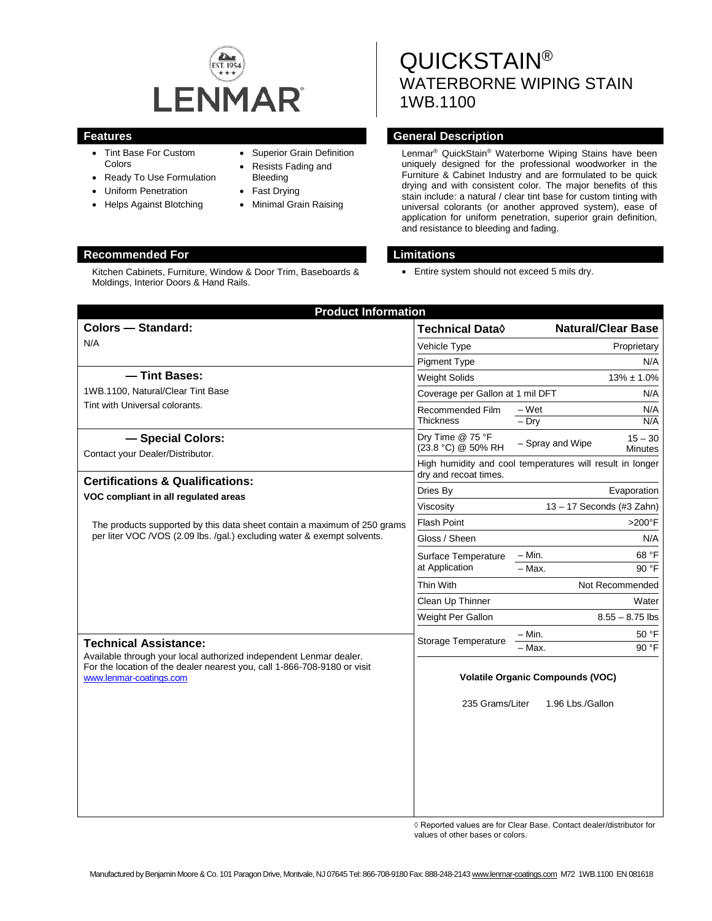

Kitchen Cabinets, Furniture, Window & Door Trim, Baseboards &

- Tint Base For Custom Colors
- Ready To Use Formulation

Moldings, Interior Doors & Hand Rails.

- Uniform Penetration
- Helps Against Blotching

# • Superior Grain Definition

- Resists Fading and
- Bleeding
- Fast Drying
- Minimal Grain Raising

# QUICKSTAIN® WATERBORNE WIPING STAIN 1WB.1100

# **Features General Description**

Lenmar® QuickStain® Waterborne Wiping Stains have been uniquely designed for the professional woodworker in the Furniture & Cabinet Industry and are formulated to be quick drying and with consistent color. The major benefits of this stain include: a natural / clear tint base for custom tinting with universal colorants (or another approved system), ease of application for uniform penetration, superior grain definition, and resistance to bleeding and fading.

## **Recommended For Limitations**

• Entire system should not exceed 5 mils dry.

| <b>Product Information</b><br><b>Colors - Standard:</b>                                                                                                                                                   | Technical Data $\Diamond$                                                          |                             | <b>Natural/Clear Base</b>   |
|-----------------------------------------------------------------------------------------------------------------------------------------------------------------------------------------------------------|------------------------------------------------------------------------------------|-----------------------------|-----------------------------|
| N/A                                                                                                                                                                                                       | Vehicle Type                                                                       |                             | Proprietary                 |
|                                                                                                                                                                                                           | <b>Pigment Type</b>                                                                |                             | N/A                         |
| - Tint Bases:                                                                                                                                                                                             | <b>Weight Solids</b>                                                               |                             | $13\% \pm 1.0\%$            |
| 1WB.1100, Natural/Clear Tint Base                                                                                                                                                                         | Coverage per Gallon at 1 mil DFT<br>N/A                                            |                             |                             |
| Tint with Universal colorants.                                                                                                                                                                            | Recommended Film                                                                   | $-Wet$                      | N/A                         |
|                                                                                                                                                                                                           | <b>Thickness</b>                                                                   | $-$ Drv                     | N/A                         |
| - Special Colors:<br>Contact your Dealer/Distributor.                                                                                                                                                     | Dry Time @ 75 °F<br>(23.8 °C) @ 50% RH                                             | - Spray and Wipe            | $15 - 30$<br><b>Minutes</b> |
| <b>Certifications &amp; Qualifications:</b>                                                                                                                                                               | High humidity and cool temperatures will result in longer<br>dry and recoat times. |                             |                             |
| VOC compliant in all regulated areas                                                                                                                                                                      | Dries By                                                                           | Evaporation                 |                             |
|                                                                                                                                                                                                           | Viscosity                                                                          | $13 - 17$ Seconds (#3 Zahn) |                             |
| The products supported by this data sheet contain a maximum of 250 grams<br>per liter VOC /VOS (2.09 lbs. /gal.) excluding water & exempt solvents.                                                       | <b>Flash Point</b>                                                                 | $>200^\circ F$              |                             |
|                                                                                                                                                                                                           | Gloss / Sheen                                                                      | N/A                         |                             |
|                                                                                                                                                                                                           | Surface Temperature<br>at Application                                              | – Min.                      | 68 °F                       |
|                                                                                                                                                                                                           |                                                                                    | $-$ Max.                    | 90 °F                       |
|                                                                                                                                                                                                           | Thin With                                                                          | Not Recommended             |                             |
|                                                                                                                                                                                                           | Clean Up Thinner                                                                   | Water                       |                             |
|                                                                                                                                                                                                           | Weight Per Gallon                                                                  |                             | $8.55 - 8.75$ lbs           |
| <b>Technical Assistance:</b><br>Available through your local authorized independent Lenmar dealer.<br>For the location of the dealer nearest you, call 1-866-708-9180 or visit<br>www.lenmar-coatings.com | Storage Temperature                                                                | – Min.                      | 50 °F                       |
|                                                                                                                                                                                                           |                                                                                    | - Max.                      | 90 °F                       |
|                                                                                                                                                                                                           | <b>Volatile Organic Compounds (VOC)</b><br>235 Grams/Liter<br>1.96 Lbs./Gallon     |                             |                             |
|                                                                                                                                                                                                           |                                                                                    |                             |                             |
|                                                                                                                                                                                                           |                                                                                    |                             |                             |
|                                                                                                                                                                                                           |                                                                                    |                             |                             |
|                                                                                                                                                                                                           |                                                                                    |                             |                             |
|                                                                                                                                                                                                           |                                                                                    |                             |                             |
|                                                                                                                                                                                                           |                                                                                    |                             |                             |

◊ Reported values are for Clear Base. Contact dealer/distributor for values of other bases or colors.